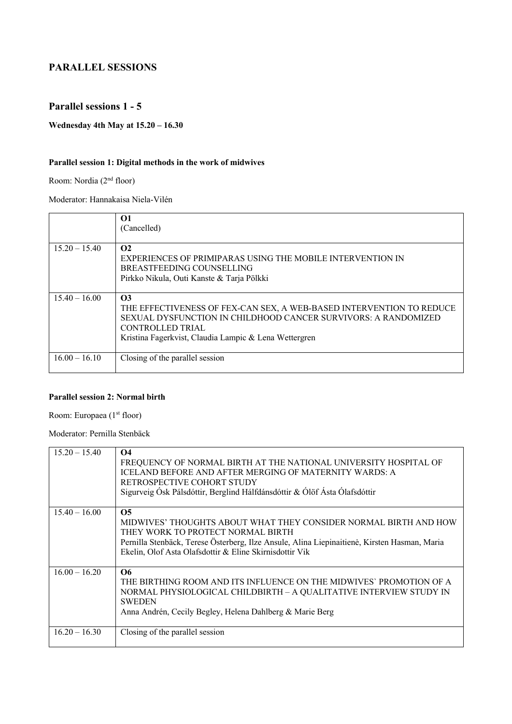### **PARALLEL SESSIONS**

### **Parallel sessions 1 - 5**

**Wednesday 4th May at 15.20 – 16.30**

### **Parallel session 1: Digital methods in the work of midwives**

Room: Nordia (2nd floor)

Moderator: Hannakaisa Niela-Vilén

|                 | $\Omega$<br>(Cancelled)                                                                                                                                                                                                                |
|-----------------|----------------------------------------------------------------------------------------------------------------------------------------------------------------------------------------------------------------------------------------|
| $15.20 - 15.40$ | $\Omega$<br>EXPERIENCES OF PRIMIPARAS USING THE MOBILE INTERVENTION IN<br>BREASTFEEDING COUNSELLING<br>Pirkko Nikula, Outi Kanste & Tarja Pölkki                                                                                       |
| $15.40 - 16.00$ | $\Omega$<br>THE EFFECTIVENESS OF FEX-CAN SEX, A WEB-BASED INTERVENTION TO REDUCE<br>SEXUAL DYSFUNCTION IN CHILDHOOD CANCER SURVIVORS: A RANDOMIZED<br><b>CONTROLLED TRIAL</b><br>Kristina Fagerkvist, Claudia Lampic & Lena Wettergren |
| $16.00 - 16.10$ | Closing of the parallel session                                                                                                                                                                                                        |

### **Parallel session 2: Normal birth**

Room: Europaea (1<sup>st</sup> floor)

Moderator: Pernilla Stenbäck

| $15.20 - 15.40$ | $\Omega$<br>FREQUENCY OF NORMAL BIRTH AT THE NATIONAL UNIVERSITY HOSPITAL OF<br>ICELAND BEFORE AND AFTER MERGING OF MATERNITY WARDS: A<br>RETROSPECTIVE COHORT STUDY<br>Sigurveig Ósk Pálsdóttir, Berglind Hálfdánsdóttir & Ólöf Ásta Ólafsdóttir                                  |
|-----------------|------------------------------------------------------------------------------------------------------------------------------------------------------------------------------------------------------------------------------------------------------------------------------------|
| $15.40 - 16.00$ | O <sub>5</sub><br>MIDWIVES' THOUGHTS ABOUT WHAT THEY CONSIDER NORMAL BIRTH AND HOW<br>THEY WORK TO PROTECT NORMAL BIRTH<br>Pernilla Stenbäck, Terese Österberg, Ilze Ansule, Alina Liepinaitienė, Kirsten Hasman, Maria<br>Ekelin, Olof Asta Olafsdottir & Eline Skirnisdottir Vik |
| $16.00 - 16.20$ | O6<br>THE BIRTHING ROOM AND ITS INFLUENCE ON THE MIDWIVES' PROMOTION OF A<br>NORMAL PHYSIOLOGICAL CHILDBIRTH - A QUALITATIVE INTERVIEW STUDY IN<br><b>SWEDEN</b><br>Anna Andrén, Cecily Begley, Helena Dahlberg & Marie Berg                                                       |
| $16.20 - 16.30$ | Closing of the parallel session                                                                                                                                                                                                                                                    |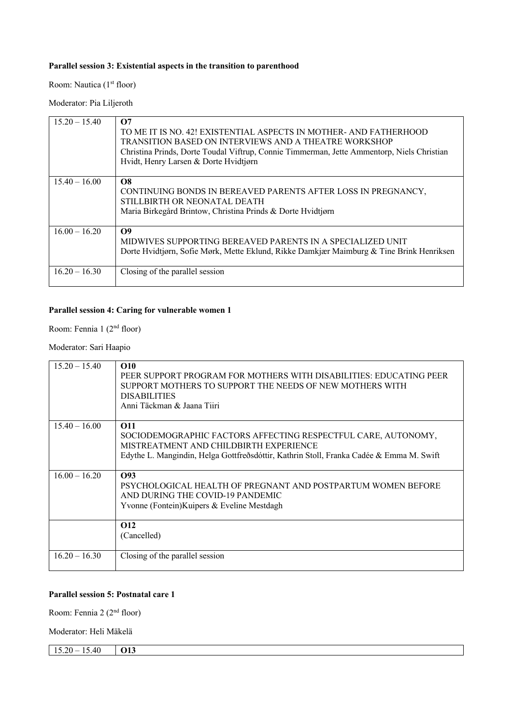#### **Parallel session 3: Existential aspects in the transition to parenthood**

Room: Nautica (1<sup>st</sup> floor)

Moderator: Pia Liljeroth

| $15.20 - 15.40$ | $\Omega$<br>TO ME IT IS NO. 42! EXISTENTIAL ASPECTS IN MOTHER- AND FATHERHOOD<br>TRANSITION BASED ON INTERVIEWS AND A THEATRE WORKSHOP<br>Christina Prinds, Dorte Toudal Viftrup, Connie Timmerman, Jette Ammentorp, Niels Christian<br>Hvidt, Henry Larsen & Dorte Hvidtjørn |
|-----------------|-------------------------------------------------------------------------------------------------------------------------------------------------------------------------------------------------------------------------------------------------------------------------------|
| $15.40 - 16.00$ | <b>O8</b><br>CONTINUING BONDS IN BEREAVED PARENTS AFTER LOSS IN PREGNANCY,<br>STILLBIRTH OR NEONATAL DEATH<br>Maria Birkegård Brintow, Christina Prinds & Dorte Hvidtjørn                                                                                                     |
| $16.00 - 16.20$ | $\Omega$<br>MIDWIVES SUPPORTING BEREAVED PARENTS IN A SPECIALIZED UNIT<br>Dorte Hvidtjørn, Sofie Mørk, Mette Eklund, Rikke Damkjær Maimburg & Tine Brink Henriksen                                                                                                            |
| $16.20 - 16.30$ | Closing of the parallel session                                                                                                                                                                                                                                               |

# **Parallel session 4: Caring for vulnerable women 1**

Room: Fennia 1 (2nd floor)

Moderator: Sari Haapio

| $15.20 - 15.40$ | O10<br>PEER SUPPORT PROGRAM FOR MOTHERS WITH DISABILITIES: EDUCATING PEER<br>SUPPORT MOTHERS TO SUPPORT THE NEEDS OF NEW MOTHERS WITH<br><b>DISABILITIES</b><br>Anni Täckman & Jaana Tiiri                       |
|-----------------|------------------------------------------------------------------------------------------------------------------------------------------------------------------------------------------------------------------|
| $15.40 - 16.00$ | <b>O11</b><br>SOCIODEMOGRAPHIC FACTORS AFFECTING RESPECTFUL CARE, AUTONOMY,<br>MISTREATMENT AND CHILDBIRTH EXPERIENCE<br>Edythe L. Mangindin, Helga Gottfreðsdóttir, Kathrin Stoll, Franka Cadée & Emma M. Swift |
| $16.00 - 16.20$ | O93<br>PSYCHOLOGICAL HEALTH OF PREGNANT AND POSTPARTUM WOMEN BEFORE<br>AND DURING THE COVID-19 PANDEMIC<br>Yvonne (Fontein) Kuipers & Eveline Mestdagh                                                           |
|                 | O <sub>12</sub><br>(Cancelled)                                                                                                                                                                                   |
| $16.20 - 16.30$ | Closing of the parallel session                                                                                                                                                                                  |

### **Parallel session 5: Postnatal care 1**

Room: Fennia 2 (2nd floor)

Moderator: Heli Mäkelä

15.20 – 15.40 **O13**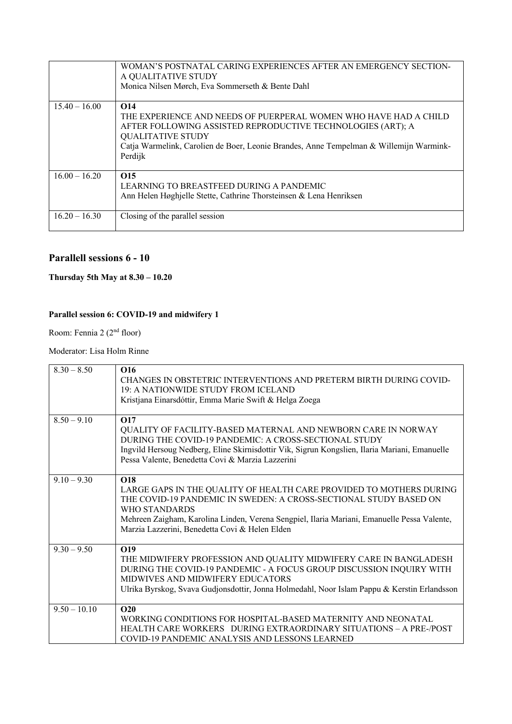|                 | WOMAN'S POSTNATAL CARING EXPERIENCES AFTER AN EMERGENCY SECTION-<br>A QUALITATIVE STUDY<br>Monica Nilsen Mørch, Eva Sommerseth & Bente Dahl                                                                                                                                         |
|-----------------|-------------------------------------------------------------------------------------------------------------------------------------------------------------------------------------------------------------------------------------------------------------------------------------|
| $15.40 - 16.00$ | O <sub>14</sub><br>THE EXPERIENCE AND NEEDS OF PUERPERAL WOMEN WHO HAVE HAD A CHILD<br>AFTER FOLLOWING ASSISTED REPRODUCTIVE TECHNOLOGIES (ART); A<br><b>QUALITATIVE STUDY</b><br>Catja Warmelink, Carolien de Boer, Leonie Brandes, Anne Tempelman & Willemijn Warmink-<br>Perdijk |
| $16.00 - 16.20$ | O <sub>15</sub><br>LEARNING TO BREASTFEED DURING A PANDEMIC<br>Ann Helen Høghjelle Stette, Cathrine Thorsteinsen & Lena Henriksen                                                                                                                                                   |
| $16.20 - 16.30$ | Closing of the parallel session                                                                                                                                                                                                                                                     |

### **Parallell sessions 6 - 10**

### **Thursday 5th May at 8.30 – 10.20**

### **Parallel session 6: COVID-19 and midwifery 1**

Room: Fennia 2 (2<sup>nd</sup> floor)

#### Moderator: Lisa Holm Rinne

| $8.30 - 8.50$  | O <sub>16</sub><br>CHANGES IN OBSTETRIC INTERVENTIONS AND PRETERM BIRTH DURING COVID-<br>19: A NATIONWIDE STUDY FROM ICELAND<br>Kristjana Einarsdóttir, Emma Marie Swift & Helga Zoega                                                                                                                                   |
|----------------|--------------------------------------------------------------------------------------------------------------------------------------------------------------------------------------------------------------------------------------------------------------------------------------------------------------------------|
| $8.50 - 9.10$  | O <sub>17</sub><br>QUALITY OF FACILITY-BASED MATERNAL AND NEWBORN CARE IN NORWAY<br>DURING THE COVID-19 PANDEMIC: A CROSS-SECTIONAL STUDY<br>Ingvild Hersoug Nedberg, Eline Skirnisdottir Vik, Sigrun Kongslien, Ilaria Mariani, Emanuelle<br>Pessa Valente, Benedetta Covi & Marzia Lazzerini                           |
| $9.10 - 9.30$  | <b>O18</b><br>LARGE GAPS IN THE QUALITY OF HEALTH CARE PROVIDED TO MOTHERS DURING<br>THE COVID-19 PANDEMIC IN SWEDEN: A CROSS-SECTIONAL STUDY BASED ON<br>WHO STANDARDS<br>Mehreen Zaigham, Karolina Linden, Verena Sengpiel, Ilaria Mariani, Emanuelle Pessa Valente,<br>Marzia Lazzerini, Benedetta Covi & Helen Elden |
| $9.30 - 9.50$  | O <sub>19</sub><br>THE MIDWIFERY PROFESSION AND QUALITY MIDWIFERY CARE IN BANGLADESH<br>DURING THE COVID-19 PANDEMIC - A FOCUS GROUP DISCUSSION INQUIRY WITH<br>MIDWIVES AND MIDWIFERY EDUCATORS<br>Ulrika Byrskog, Svava Gudjonsdottir, Jonna Holmedahl, Noor Islam Pappu & Kerstin Erlandsson                          |
| $9.50 - 10.10$ | O <sub>20</sub><br>WORKING CONDITIONS FOR HOSPITAL-BASED MATERNITY AND NEONATAL<br>HEALTH CARE WORKERS DURING EXTRAORDINARY SITUATIONS – A PRE-/POST<br>COVID-19 PANDEMIC ANALYSIS AND LESSONS LEARNED                                                                                                                   |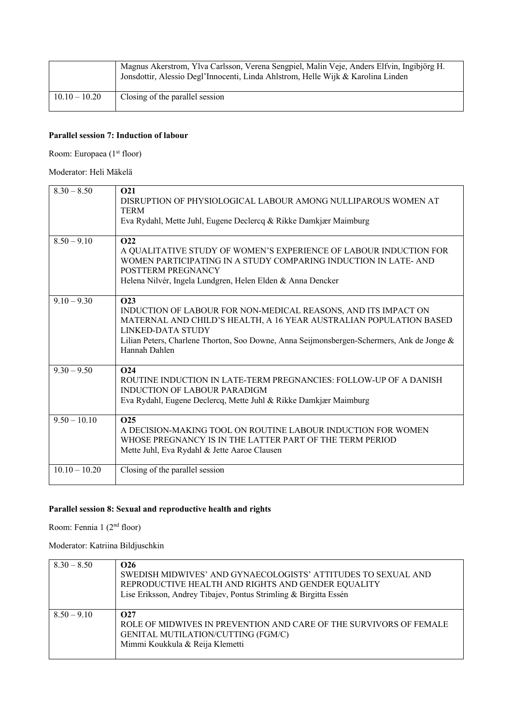|                 | Magnus Akerstrom, Ylva Carlsson, Verena Sengpiel, Malin Veje, Anders Elfvin, Ingibjörg H.<br>Jonsdottir, Alessio Degl'Innocenti, Linda Ahlstrom, Helle Wijk & Karolina Linden |
|-----------------|-------------------------------------------------------------------------------------------------------------------------------------------------------------------------------|
| $10.10 - 10.20$ | Closing of the parallel session                                                                                                                                               |

#### **Parallel session 7: Induction of labour**

Room: Europaea (1<sup>st</sup> floor)

#### Moderator: Heli Mäkelä

| $8.30 - 8.50$   | O <sub>21</sub><br>DISRUPTION OF PHYSIOLOGICAL LABOUR AMONG NULLIPAROUS WOMEN AT<br><b>TERM</b><br>Eva Rydahl, Mette Juhl, Eugene Declercq & Rikke Damkjær Maimburg                                                                                                                        |
|-----------------|--------------------------------------------------------------------------------------------------------------------------------------------------------------------------------------------------------------------------------------------------------------------------------------------|
| $8.50 - 9.10$   | O22<br>A QUALITATIVE STUDY OF WOMEN'S EXPERIENCE OF LABOUR INDUCTION FOR<br>WOMEN PARTICIPATING IN A STUDY COMPARING INDUCTION IN LATE-AND<br>POSTTERM PREGNANCY<br>Helena Nilvér, Ingela Lundgren, Helen Elden & Anna Dencker                                                             |
| $9.10 - 9.30$   | O <sub>23</sub><br>INDUCTION OF LABOUR FOR NON-MEDICAL REASONS, AND ITS IMPACT ON<br>MATERNAL AND CHILD'S HEALTH, A 16 YEAR AUSTRALIAN POPULATION BASED<br>LINKED-DATA STUDY<br>Lilian Peters, Charlene Thorton, Soo Downe, Anna Seijmonsbergen-Schermers, Ank de Jonge &<br>Hannah Dahlen |
| $9.30 - 9.50$   | O <sub>24</sub><br>ROUTINE INDUCTION IN LATE-TERM PREGNANCIES: FOLLOW-UP OF A DANISH<br><b>INDUCTION OF LABOUR PARADIGM</b><br>Eva Rydahl, Eugene Declercq, Mette Juhl & Rikke Damkjær Maimburg                                                                                            |
| $9.50 - 10.10$  | O <sub>25</sub><br>A DECISION-MAKING TOOL ON ROUTINE LABOUR INDUCTION FOR WOMEN<br>WHOSE PREGNANCY IS IN THE LATTER PART OF THE TERM PERIOD<br>Mette Juhl, Eva Rydahl & Jette Aaroe Clausen                                                                                                |
| $10.10 - 10.20$ | Closing of the parallel session                                                                                                                                                                                                                                                            |

# **Parallel session 8: Sexual and reproductive health and rights**

Room: Fennia 1 (2<sup>nd</sup> floor)

Moderator: Katriina Bildjuschkin

| $8.30 - 8.50$ | $\Omega$<br>SWEDISH MIDWIVES' AND GYNAECOLOGISTS' ATTITUDES TO SEXUAL AND<br>REPRODUCTIVE HEALTH AND RIGHTS AND GENDER EQUALITY<br>Lise Eriksson, Andrey Tibajev, Pontus Strimling & Birgitta Essén |
|---------------|-----------------------------------------------------------------------------------------------------------------------------------------------------------------------------------------------------|
| $8.50 - 9.10$ | $\Omega$<br>ROLE OF MIDWIVES IN PREVENTION AND CARE OF THE SURVIVORS OF FEMALE<br>GENITAL MUTILATION/CUTTING (FGM/C)<br>Mimmi Koukkula & Reija Klemetti                                             |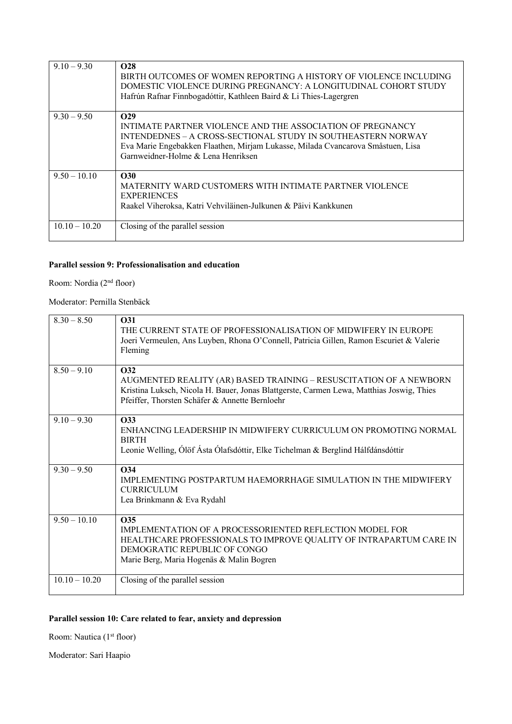| $9.10 - 9.30$   | <b>O28</b><br>BIRTH OUTCOMES OF WOMEN REPORTING A HISTORY OF VIOLENCE INCLUDING<br>DOMESTIC VIOLENCE DURING PREGNANCY: A LONGITUDINAL COHORT STUDY<br>Hafrún Rafnar Finnbogadóttir, Kathleen Baird & Li Thies-Lagergren                                         |
|-----------------|-----------------------------------------------------------------------------------------------------------------------------------------------------------------------------------------------------------------------------------------------------------------|
| $9.30 - 9.50$   | $\Omega$<br>INTIMATE PARTNER VIOLENCE AND THE ASSOCIATION OF PREGNANCY<br>INTENDEDNES – A CROSS-SECTIONAL STUDY IN SOUTHEASTERN NORWAY<br>Eva Marie Engebakken Flaathen, Mirjam Lukasse, Milada Cvancarova Småstuen, Lisa<br>Garnweidner-Holme & Lena Henriksen |
| $9.50 - 10.10$  | <b>O30</b><br>MATERNITY WARD CUSTOMERS WITH INTIMATE PARTNER VIOLENCE<br><b>EXPERIENCES</b><br>Raakel Viheroksa, Katri Vehviläinen-Julkunen & Päivi Kankkunen                                                                                                   |
| $10.10 - 10.20$ | Closing of the parallel session                                                                                                                                                                                                                                 |

### **Parallel session 9: Professionalisation and education**

Room: Nordia (2nd floor)

Moderator: Pernilla Stenbäck

| $8.30 - 8.50$   | <b>O31</b><br>THE CURRENT STATE OF PROFESSIONALISATION OF MIDWIFERY IN EUROPE<br>Joeri Vermeulen, Ans Luyben, Rhona O'Connell, Patricia Gillen, Ramon Escuriet & Valerie<br>Fleming                                            |
|-----------------|--------------------------------------------------------------------------------------------------------------------------------------------------------------------------------------------------------------------------------|
| $8.50 - 9.10$   | <b>O32</b><br>AUGMENTED REALITY (AR) BASED TRAINING - RESUSCITATION OF A NEWBORN<br>Kristina Luksch, Nicola H. Bauer, Jonas Blattgerste, Carmen Lewa, Matthias Joswig, Thies<br>Pfeiffer, Thorsten Schäfer & Annette Bernloehr |
| $9.10 - 9.30$   | <b>O33</b><br>ENHANCING LEADERSHIP IN MIDWIFERY CURRICULUM ON PROMOTING NORMAL<br><b>BIRTH</b><br>Leonie Welling, Ólöf Ásta Ólafsdóttir, Elke Tichelman & Berglind Hálfdánsdóttir                                              |
| $9.30 - 9.50$   | O34<br>IMPLEMENTING POSTPARTUM HAEMORRHAGE SIMULATION IN THE MIDWIFERY<br><b>CURRICULUM</b><br>Lea Brinkmann & Eva Rydahl                                                                                                      |
| $9.50 - 10.10$  | O <sub>35</sub><br>IMPLEMENTATION OF A PROCESSORIENTED REFLECTION MODEL FOR<br>HEALTHCARE PROFESSIONALS TO IMPROVE QUALITY OF INTRAPARTUM CARE IN<br>DEMOGRATIC REPUBLIC OF CONGO<br>Marie Berg, Maria Hogenäs & Malin Bogren  |
| $10.10 - 10.20$ | Closing of the parallel session                                                                                                                                                                                                |

# **Parallel session 10: Care related to fear, anxiety and depression**

Room: Nautica (1<sup>st</sup> floor)

Moderator: Sari Haapio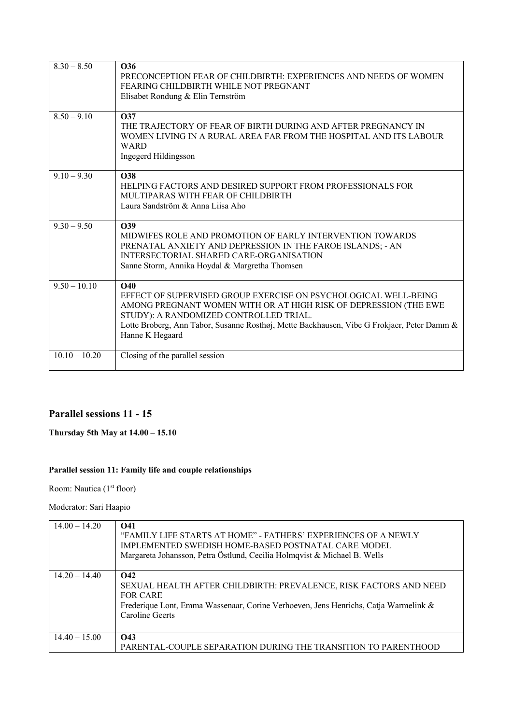| $8.30 - 8.50$   | O <sub>36</sub><br>PRECONCEPTION FEAR OF CHILDBIRTH: EXPERIENCES AND NEEDS OF WOMEN<br>FEARING CHILDBIRTH WHILE NOT PREGNANT<br>Elisabet Rondung & Elin Ternström                                                                                                                                            |
|-----------------|--------------------------------------------------------------------------------------------------------------------------------------------------------------------------------------------------------------------------------------------------------------------------------------------------------------|
| $8.50 - 9.10$   | O37<br>THE TRAJECTORY OF FEAR OF BIRTH DURING AND AFTER PREGNANCY IN<br>WOMEN LIVING IN A RURAL AREA FAR FROM THE HOSPITAL AND ITS LABOUR<br>WARD<br>Ingegerd Hildingsson                                                                                                                                    |
| $9.10 - 9.30$   | <b>O38</b><br>HELPING FACTORS AND DESIRED SUPPORT FROM PROFESSIONALS FOR<br>MULTIPARAS WITH FEAR OF CHILDBIRTH<br>Laura Sandström & Anna Liisa Aho                                                                                                                                                           |
| $9.30 - 9.50$   | O39<br>MIDWIFES ROLE AND PROMOTION OF EARLY INTERVENTION TOWARDS<br>PRENATAL ANXIETY AND DEPRESSION IN THE FAROE ISLANDS; - AN<br>INTERSECTORIAL SHARED CARE-ORGANISATION<br>Sanne Storm, Annika Hoydal & Margretha Thomsen                                                                                  |
| $9.50 - 10.10$  | <b>O40</b><br>EFFECT OF SUPERVISED GROUP EXERCISE ON PSYCHOLOGICAL WELL-BEING<br>AMONG PREGNANT WOMEN WITH OR AT HIGH RISK OF DEPRESSION (THE EWE<br>STUDY): A RANDOMIZED CONTROLLED TRIAL.<br>Lotte Broberg, Ann Tabor, Susanne Rosthøj, Mette Backhausen, Vibe G Frokjaer, Peter Damm &<br>Hanne K Hegaard |
| $10.10 - 10.20$ | Closing of the parallel session                                                                                                                                                                                                                                                                              |

# **Parallel sessions 11 - 15**

**Thursday 5th May at 14.00 – 15.10**

# **Parallel session 11: Family life and couple relationships**

Room: Nautica (1<sup>st</sup> floor)

Moderator: Sari Haapio

| $14.00 - 14.20$ | <b>O41</b><br>"FAMILY LIFE STARTS AT HOME" - FATHERS' EXPERIENCES OF A NEWLY<br>IMPLEMENTED SWEDISH HOME-BASED POSTNATAL CARE MODEL<br>Margareta Johansson, Petra Östlund, Cecilia Holmqvist & Michael B. Wells |
|-----------------|-----------------------------------------------------------------------------------------------------------------------------------------------------------------------------------------------------------------|
| $14.20 - 14.40$ | <b>O42</b><br>SEXUAL HEALTH AFTER CHILDBIRTH: PREVALENCE, RISK FACTORS AND NEED<br><b>FOR CARE</b><br>Frederique Lont, Emma Wassenaar, Corine Verhoeven, Jens Henrichs, Catja Warmelink &<br>Caroline Geerts    |
| $14.40 - 15.00$ | <b>O43</b><br>PARENTAL-COUPLE SEPARATION DURING THE TRANSITION TO PARENTHOOD                                                                                                                                    |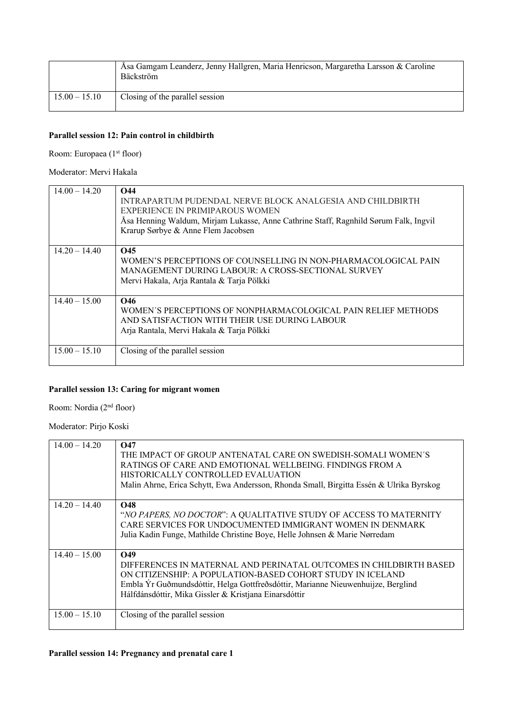|                 | Åsa Gamgam Leanderz, Jenny Hallgren, Maria Henricson, Margaretha Larsson & Caroline<br>Bäckström |
|-----------------|--------------------------------------------------------------------------------------------------|
| $15.00 - 15.10$ | Closing of the parallel session                                                                  |

#### **Parallel session 12: Pain control in childbirth**

Room: Europaea (1<sup>st</sup> floor)

#### Moderator: Mervi Hakala

| $14.00 - 14.20$ | <b>O44</b><br>INTRAPARTUM PUDENDAL NERVE BLOCK ANALGESIA AND CHILDBIRTH<br>EXPERIENCE IN PRIMIPAROUS WOMEN<br>Åsa Henning Waldum, Mirjam Lukasse, Anne Cathrine Staff, Ragnhild Sørum Falk, Ingvil<br>Krarup Sørbye & Anne Flem Jacobsen |
|-----------------|------------------------------------------------------------------------------------------------------------------------------------------------------------------------------------------------------------------------------------------|
| $14.20 - 14.40$ | <b>O45</b><br>WOMEN'S PERCEPTIONS OF COUNSELLING IN NON-PHARMACOLOGICAL PAIN<br>MANAGEMENT DURING LABOUR: A CROSS-SECTIONAL SURVEY<br>Mervi Hakala, Arja Rantala & Tarja Pölkki                                                          |
| $14.40 - 15.00$ | O <sub>46</sub><br>WOMEN'S PERCEPTIONS OF NONPHARMACOLOGICAL PAIN RELIEF METHODS<br>AND SATISFACTION WITH THEIR USE DURING LABOUR<br>Arja Rantala, Mervi Hakala & Tarja Pölkki                                                           |
| $15.00 - 15.10$ | Closing of the parallel session                                                                                                                                                                                                          |

### **Parallel session 13: Caring for migrant women**

Room: Nordia (2nd floor)

Moderator: Pirjo Koski

| $14.00 - 14.20$ | $\Omega$ 47<br>THE IMPACT OF GROUP ANTENATAL CARE ON SWEDISH-SOMALI WOMEN'S<br>RATINGS OF CARE AND EMOTIONAL WELLBEING. FINDINGS FROM A<br>HISTORICALLY CONTROLLED EVALUATION<br>Malin Ahrne, Erica Schytt, Ewa Andersson, Rhonda Small, Birgitta Essén & Ulrika Byrskog                         |
|-----------------|--------------------------------------------------------------------------------------------------------------------------------------------------------------------------------------------------------------------------------------------------------------------------------------------------|
| $14.20 - 14.40$ | <b>O48</b><br>"NO PAPERS, NO DOCTOR": A QUALITATIVE STUDY OF ACCESS TO MATERNITY<br>CARE SERVICES FOR UNDOCUMENTED IMMIGRANT WOMEN IN DENMARK<br>Julia Kadin Funge, Mathilde Christine Boye, Helle Johnsen & Marie Nørredam                                                                      |
| $14.40 - 15.00$ | O <sub>49</sub><br>DIFFERENCES IN MATERNAL AND PERINATAL OUTCOMES IN CHILDBIRTH BASED<br>ON CITIZENSHIP: A POPULATION-BASED COHORT STUDY IN ICELAND<br>Embla Ýr Guðmundsdóttir, Helga Gottfreðsdóttir, Marianne Nieuwenhuijze, Berglind<br>Hálfdánsdóttir, Mika Gissler & Kristjana Einarsdóttir |
| $15.00 - 15.10$ | Closing of the parallel session                                                                                                                                                                                                                                                                  |

#### **Parallel session 14: Pregnancy and prenatal care 1**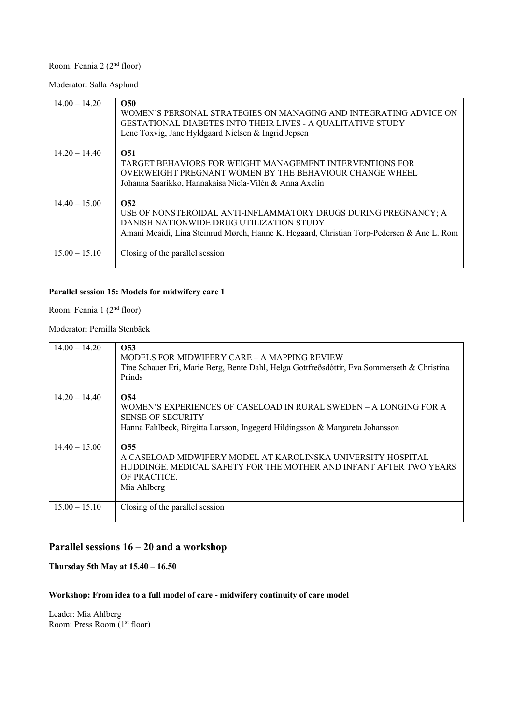# Room: Fennia 2 (2<sup>nd</sup> floor)

Moderator: Salla Asplund

| $14.00 - 14.20$ | O <sub>50</sub><br>WOMEN'S PERSONAL STRATEGIES ON MANAGING AND INTEGRATING ADVICE ON<br><b>GESTATIONAL DIABETES INTO THEIR LIVES - A QUALITATIVE STUDY</b><br>Lene Toxvig, Jane Hyldgaard Nielsen & Ingrid Jepsen           |
|-----------------|-----------------------------------------------------------------------------------------------------------------------------------------------------------------------------------------------------------------------------|
| $14.20 - 14.40$ | O <sub>51</sub><br>TARGET BEHAVIORS FOR WEIGHT MANAGEMENT INTERVENTIONS FOR<br>OVERWEIGHT PREGNANT WOMEN BY THE BEHAVIOUR CHANGE WHEEL<br>Johanna Saarikko, Hannakaisa Niela-Vilén & Anna Axelin                            |
| $14.40 - 15.00$ | O <sub>52</sub><br>USE OF NONSTEROIDAL ANTI-INFLAMMATORY DRUGS DURING PREGNANCY; A<br>DANISH NATIONWIDE DRUG UTILIZATION STUDY<br>Amani Meaidi, Lina Steinrud Mørch, Hanne K. Hegaard, Christian Torp-Pedersen & Ane L. Rom |
| $15.00 - 15.10$ | Closing of the parallel session                                                                                                                                                                                             |

# **Parallel session 15: Models for midwifery care 1**

Room: Fennia 1 (2nd floor)

Moderator: Pernilla Stenbäck

| $14.00 - 14.20$ | O <sub>53</sub><br>MODELS FOR MIDWIFERY CARE – A MAPPING REVIEW<br>Tine Schauer Eri, Marie Berg, Bente Dahl, Helga Gottfreðsdóttir, Eva Sommerseth & Christina<br>Prinds             |
|-----------------|--------------------------------------------------------------------------------------------------------------------------------------------------------------------------------------|
| $14.20 - 14.40$ | O54<br>WOMEN'S EXPERIENCES OF CASELOAD IN RURAL SWEDEN – A LONGING FOR A<br><b>SENSE OF SECURITY</b><br>Hanna Fahlbeck, Birgitta Larsson, Ingegerd Hildingsson & Margareta Johansson |
| $14.40 - 15.00$ | O <sub>55</sub><br>A CASELOAD MIDWIFERY MODEL AT KAROLINSKA UNIVERSITY HOSPITAL<br>HUDDINGE. MEDICAL SAFETY FOR THE MOTHER AND INFANT AFTER TWO YEARS<br>OF PRACTICE.<br>Mia Ahlberg |
| $15.00 - 15.10$ | Closing of the parallel session                                                                                                                                                      |

# **Parallel sessions 16 – 20 and a workshop**

**Thursday 5th May at 15.40 – 16.50**

### **Workshop: From idea to a full model of care - midwifery continuity of care model**

Leader: Mia Ahlberg Room: Press Room (1<sup>st</sup> floor)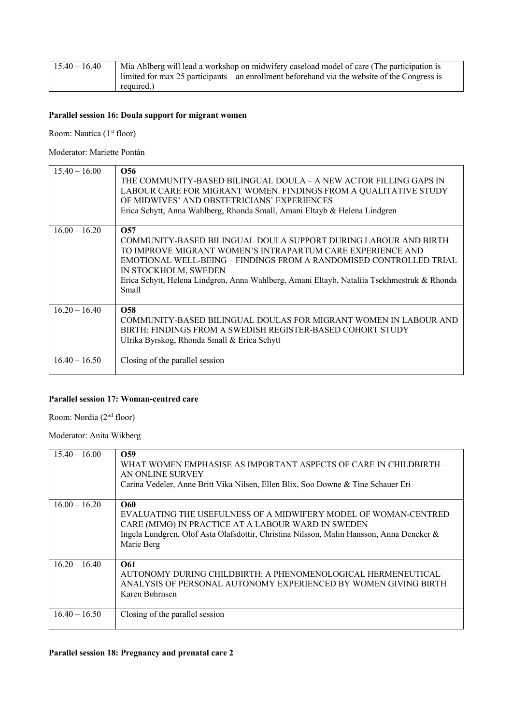| $15.40 - 16.40$ | Mia Ahlberg will lead a workshop on midwifery caseload model of care (The participation is      |
|-----------------|-------------------------------------------------------------------------------------------------|
|                 | l limited for max 25 participants – an enrollment beforehand via the website of the Congress is |
|                 | required.)                                                                                      |

### **Parallel session 16: Doula support for migrant women**

Room: Nautica (1<sup>st</sup> floor)

Moderator: Mariette Pontán

| $15.40 - 16.00$ | O56<br>THE COMMUNITY-BASED BILINGUAL DOULA - A NEW ACTOR FILLING GAPS IN<br>LABOUR CARE FOR MIGRANT WOMEN. FINDINGS FROM A QUALITATIVE STUDY<br>OF MIDWIVES' AND OBSTETRICIANS' EXPERIENCES<br>Erica Schytt, Anna Wahlberg, Rhonda Small, Amani Eltayb & Helena Lindgren                                                                              |
|-----------------|-------------------------------------------------------------------------------------------------------------------------------------------------------------------------------------------------------------------------------------------------------------------------------------------------------------------------------------------------------|
| $16.00 - 16.20$ | O <sub>57</sub><br>COMMUNITY-BASED BILINGUAL DOULA SUPPORT DURING LABOUR AND BIRTH<br>TO IMPROVE MIGRANT WOMEN'S INTRAPARTUM CARE EXPERIENCE AND<br>EMOTIONAL WELL-BEING – FINDINGS FROM A RANDOMISED CONTROLLED TRIAL<br>IN STOCKHOLM, SWEDEN<br>Erica Schytt, Helena Lindgren, Anna Wahlberg, Amani Eltayb, Nataliia Tsekhmestruk & Rhonda<br>Small |
| $16.20 - 16.40$ | O <sub>58</sub><br>COMMUNITY-BASED BILINGUAL DOULAS FOR MIGRANT WOMEN IN LABOUR AND<br>BIRTH: FINDINGS FROM A SWEDISH REGISTER-BASED COHORT STUDY<br>Ulrika Byrskog, Rhonda Small & Erica Schytt                                                                                                                                                      |
| $16.40 - 16.50$ | Closing of the parallel session                                                                                                                                                                                                                                                                                                                       |

#### **Parallel session 17: Woman-centred care**

Room: Nordia (2nd floor)

Moderator: Anita Wikberg

| $15.40 - 16.00$ | O <sub>59</sub><br>WHAT WOMEN EMPHASISE AS IMPORTANT ASPECTS OF CARE IN CHILDBIRTH -<br>AN ONLINE SURVEY<br>Carina Vedeler, Anne Britt Vika Nilsen, Ellen Blix, Soo Downe & Tine Schauer Eri                                                  |
|-----------------|-----------------------------------------------------------------------------------------------------------------------------------------------------------------------------------------------------------------------------------------------|
| $16.00 - 16.20$ | <b>O60</b><br>EVALUATING THE USEFULNESS OF A MIDWIFERY MODEL OF WOMAN-CENTRED<br>CARE (MIMO) IN PRACTICE AT A LABOUR WARD IN SWEDEN<br>Ingela Lundgren, Olof Asta Olafsdottir, Christina Nilsson, Malin Hansson, Anna Dencker &<br>Marie Berg |
| $16.20 - 16.40$ | O61<br>AUTONOMY DURING CHILDBIRTH: A PHENOMENOLOGICAL HERMENEUTICAL<br>ANALYSIS OF PERSONAL AUTONOMY EXPERIENCED BY WOMEN GIVING BIRTH<br>Karen Bøhrnsen                                                                                      |
| $16.40 - 16.50$ | Closing of the parallel session                                                                                                                                                                                                               |

#### **Parallel session 18: Pregnancy and prenatal care 2**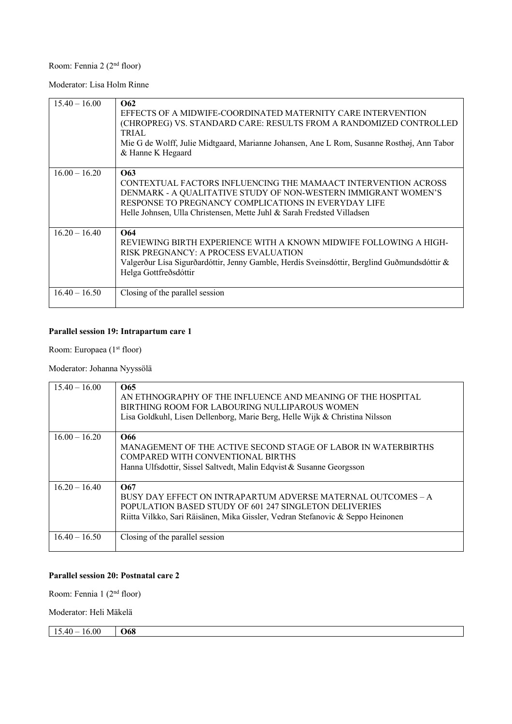# Room: Fennia 2 (2nd floor)

Moderator: Lisa Holm Rinne

| $15.40 - 16.00$ | O62<br>EFFECTS OF A MIDWIFE-COORDINATED MATERNITY CARE INTERVENTION<br>(CHROPREG) VS. STANDARD CARE: RESULTS FROM A RANDOMIZED CONTROLLED<br><b>TRIAL</b><br>Mie G de Wolff, Julie Midtgaard, Marianne Johansen, Ane L Rom, Susanne Rosthøj, Ann Tabor<br>& Hanne K Hegaard |
|-----------------|-----------------------------------------------------------------------------------------------------------------------------------------------------------------------------------------------------------------------------------------------------------------------------|
| $16.00 - 16.20$ | O63<br>CONTEXTUAL FACTORS INFLUENCING THE MAMAACT INTERVENTION ACROSS<br>DENMARK - A QUALITATIVE STUDY OF NON-WESTERN IMMIGRANT WOMEN'S<br>RESPONSE TO PREGNANCY COMPLICATIONS IN EVERYDAY LIFE<br>Helle Johnsen, Ulla Christensen, Mette Juhl & Sarah Fredsted Villadsen   |
| $16.20 - 16.40$ | O64<br>REVIEWING BIRTH EXPERIENCE WITH A KNOWN MIDWIFE FOLLOWING A HIGH-<br>RISK PREGNANCY: A PROCESS EVALUATION<br>Valgerður Lísa Sigurðardóttir, Jenny Gamble, Herdís Sveinsdóttir, Berglind Guðmundsdóttir &<br>Helga Gottfreðsdóttir                                    |
| $16.40 - 16.50$ | Closing of the parallel session                                                                                                                                                                                                                                             |

### **Parallel session 19: Intrapartum care 1**

Room: Europaea (1<sup>st</sup> floor)

Moderator: Johanna Nyyssölä

| $15.40 - 16.00$ | O <sub>65</sub><br>AN ETHNOGRAPHY OF THE INFLUENCE AND MEANING OF THE HOSPITAL<br>BIRTHING ROOM FOR LABOURING NULLIPAROUS WOMEN<br>Lisa Goldkuhl, Lisen Dellenborg, Marie Berg, Helle Wijk & Christina Nilsson  |
|-----------------|-----------------------------------------------------------------------------------------------------------------------------------------------------------------------------------------------------------------|
| $16.00 - 16.20$ | O <sub>66</sub><br>MANAGEMENT OF THE ACTIVE SECOND STAGE OF LABOR IN WATERBIRTHS<br>COMPARED WITH CONVENTIONAL BIRTHS<br>Hanna Ulfsdottir, Sissel Saltvedt, Malin Edqvist & Susanne Georgsson                   |
| $16.20 - 16.40$ | O67<br>BUSY DAY EFFECT ON INTRAPARTUM ADVERSE MATERNAL OUTCOMES – A<br>POPULATION BASED STUDY OF 601 247 SINGLETON DELIVERIES<br>Riitta Vilkko, Sari Räisänen, Mika Gissler, Vedran Stefanovic & Seppo Heinonen |
| $16.40 - 16.50$ | Closing of the parallel session                                                                                                                                                                                 |

### **Parallel session 20: Postnatal care 2**

Room: Fennia 1 (2nd floor)

Moderator: Heli Mäkelä

 $15.40 - 16.00$  068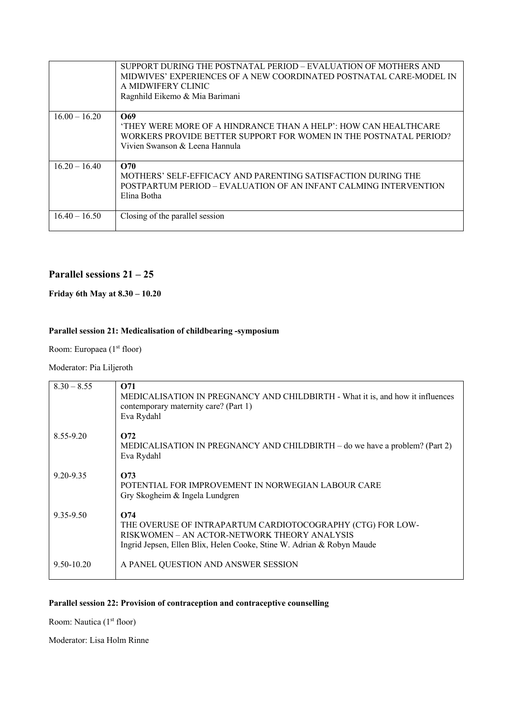|                 | SUPPORT DURING THE POSTNATAL PERIOD – EVALUATION OF MOTHERS AND<br>MIDWIVES' EXPERIENCES OF A NEW COORDINATED POSTNATAL CARE-MODEL IN<br>A MIDWIFERY CLINIC<br>Ragnhild Eikemo & Mia Barimani |
|-----------------|-----------------------------------------------------------------------------------------------------------------------------------------------------------------------------------------------|
| $16.00 - 16.20$ | O69<br>'THEY WERE MORE OF A HINDRANCE THAN A HELP': HOW CAN HEALTHCARE<br>WORKERS PROVIDE BETTER SUPPORT FOR WOMEN IN THE POSTNATAL PERIOD?<br>Vivien Swanson & Leena Hannula                 |
| $16.20 - 16.40$ | O70<br>MOTHERS' SELF-EFFICACY AND PARENTING SATISFACTION DURING THE<br>POSTPARTUM PERIOD – EVALUATION OF AN INFANT CALMING INTERVENTION<br>Elina Botha                                        |
| $16.40 - 16.50$ | Closing of the parallel session                                                                                                                                                               |

### **Parallel sessions 21 – 25**

#### **Friday 6th May at 8.30 – 10.20**

### **Parallel session 21: Medicalisation of childbearing -symposium**

Room: Europaea (1<sup>st</sup> floor)

#### Moderator: Pia Liljeroth

| $8.30 - 8.55$  | O71<br>MEDICALISATION IN PREGNANCY AND CHILDBIRTH - What it is, and how it influences<br>contemporary maternity care? (Part 1)<br>Eva Rydahl                                               |
|----------------|--------------------------------------------------------------------------------------------------------------------------------------------------------------------------------------------|
| 8.55-9.20      | $\Omega$<br>MEDICALISATION IN PREGNANCY AND CHILDBIRTH – do we have a problem? (Part 2)<br>Eva Rydahl                                                                                      |
| 9.20-9.35      | O73<br>POTENTIAL FOR IMPROVEMENT IN NORWEGIAN LABOUR CARE<br>Gry Skogheim & Ingela Lundgren                                                                                                |
| 9.35-9.50      | O74<br>THE OVERUSE OF INTRAPARTUM CARDIOTOCOGRAPHY (CTG) FOR LOW-<br>RISKWOMEN – AN ACTOR-NETWORK THEORY ANALYSIS<br>Ingrid Jepsen, Ellen Blix, Helen Cooke, Stine W. Adrian & Robyn Maude |
| $9.50 - 10.20$ | A PANEL QUESTION AND ANSWER SESSION                                                                                                                                                        |

### **Parallel session 22: Provision of contraception and contraceptive counselling**

Room: Nautica (1<sup>st</sup> floor)

Moderator: Lisa Holm Rinne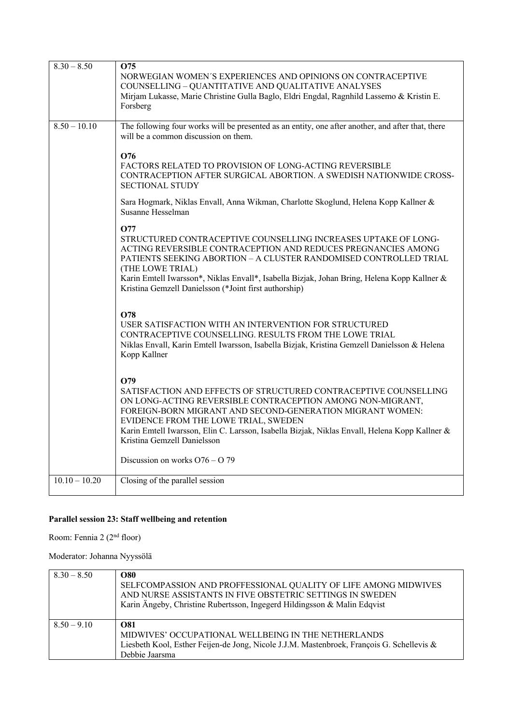| $8.30 - 8.50$   | O75<br>NORWEGIAN WOMEN'S EXPERIENCES AND OPINIONS ON CONTRACEPTIVE<br>COUNSELLING - QUANTITATIVE AND QUALITATIVE ANALYSES<br>Mirjam Lukasse, Marie Christine Gulla Baglo, Eldri Engdal, Ragnhild Lassemo & Kristin E.<br>Forsberg                                                                                                                                                              |
|-----------------|------------------------------------------------------------------------------------------------------------------------------------------------------------------------------------------------------------------------------------------------------------------------------------------------------------------------------------------------------------------------------------------------|
| $8.50 - 10.10$  | The following four works will be presented as an entity, one after another, and after that, there<br>will be a common discussion on them.                                                                                                                                                                                                                                                      |
|                 | O76<br>FACTORS RELATED TO PROVISION OF LONG-ACTING REVERSIBLE<br>CONTRACEPTION AFTER SURGICAL ABORTION. A SWEDISH NATIONWIDE CROSS-<br><b>SECTIONAL STUDY</b>                                                                                                                                                                                                                                  |
|                 | Sara Hogmark, Niklas Envall, Anna Wikman, Charlotte Skoglund, Helena Kopp Kallner &<br>Susanne Hesselman                                                                                                                                                                                                                                                                                       |
|                 | <b>O77</b><br>STRUCTURED CONTRACEPTIVE COUNSELLING INCREASES UPTAKE OF LONG-<br>ACTING REVERSIBLE CONTRACEPTION AND REDUCES PREGNANCIES AMONG<br>PATIENTS SEEKING ABORTION - A CLUSTER RANDOMISED CONTROLLED TRIAL<br>(THE LOWE TRIAL)<br>Karin Emtell Iwarsson*, Niklas Envall*, Isabella Bizjak, Johan Bring, Helena Kopp Kallner &<br>Kristina Gemzell Danielsson (*Joint first authorship) |
|                 | O78<br>USER SATISFACTION WITH AN INTERVENTION FOR STRUCTURED<br>CONTRACEPTIVE COUNSELLING. RESULTS FROM THE LOWE TRIAL<br>Niklas Envall, Karin Emtell Iwarsson, Isabella Bizjak, Kristina Gemzell Danielsson & Helena<br>Kopp Kallner                                                                                                                                                          |
|                 | O79<br>SATISFACTION AND EFFECTS OF STRUCTURED CONTRACEPTIVE COUNSELLING<br>ON LONG-ACTING REVERSIBLE CONTRACEPTION AMONG NON-MIGRANT,<br>FOREIGN-BORN MIGRANT AND SECOND-GENERATION MIGRANT WOMEN:<br>EVIDENCE FROM THE LOWE TRIAL, SWEDEN<br>Karin Emtell Iwarsson, Elin C. Larsson, Isabella Bizjak, Niklas Envall, Helena Kopp Kallner &<br>Kristina Gemzell Danielsson                     |
|                 | Discussion on works $O76 - O79$                                                                                                                                                                                                                                                                                                                                                                |
| $10.10 - 10.20$ | Closing of the parallel session                                                                                                                                                                                                                                                                                                                                                                |

# **Parallel session 23: Staff wellbeing and retention**

Room: Fennia 2 (2<sup>nd</sup> floor)

Moderator: Johanna Nyyssölä

| $8.30 - 8.50$ | <b>O80</b><br>SELFCOMPASSION AND PROFFESSIONAL QUALITY OF LIFE AMONG MIDWIVES<br>AND NURSE ASSISTANTS IN FIVE OBSTETRIC SETTINGS IN SWEDEN<br>Karin Ängeby, Christine Rubertsson, Ingegerd Hildingsson & Malin Edqvist |
|---------------|------------------------------------------------------------------------------------------------------------------------------------------------------------------------------------------------------------------------|
| $8.50 - 9.10$ | O81<br>MIDWIVES' OCCUPATIONAL WELLBEING IN THE NETHERLANDS<br>Liesbeth Kool, Esther Feijen-de Jong, Nicole J.J.M. Mastenbroek, François G. Schellevis &<br>Debbie Jaarsma                                              |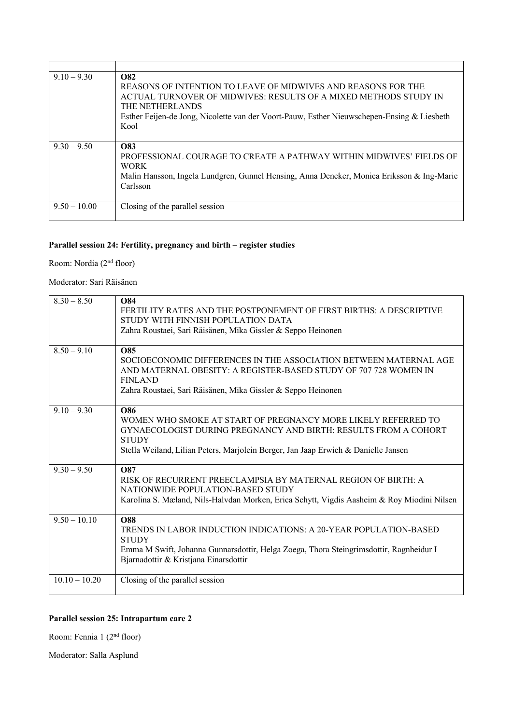| $9.10 - 9.30$  | <b>O82</b><br>REASONS OF INTENTION TO LEAVE OF MIDWIVES AND REASONS FOR THE<br>ACTUAL TURNOVER OF MIDWIVES: RESULTS OF A MIXED METHODS STUDY IN<br>THE NETHERLANDS<br>Esther Feijen-de Jong, Nicolette van der Voort-Pauw, Esther Nieuwschepen-Ensing & Liesbeth<br>Kool |
|----------------|--------------------------------------------------------------------------------------------------------------------------------------------------------------------------------------------------------------------------------------------------------------------------|
| $9.30 - 9.50$  | <b>O83</b><br>PROFESSIONAL COURAGE TO CREATE A PATHWAY WITHIN MIDWIVES' FIELDS OF<br><b>WORK</b><br>Malin Hansson, Ingela Lundgren, Gunnel Hensing, Anna Dencker, Monica Eriksson & Ing-Marie<br>Carlsson                                                                |
| $9.50 - 10.00$ | Closing of the parallel session                                                                                                                                                                                                                                          |

# **Parallel session 24: Fertility, pregnancy and birth – register studies**

Room: Nordia (2nd floor)

### Moderator: Sari Räisänen

| $8.30 - 8.50$   | <b>O84</b><br>FERTILITY RATES AND THE POSTPONEMENT OF FIRST BIRTHS: A DESCRIPTIVE<br>STUDY WITH FINNISH POPULATION DATA<br>Zahra Roustaei, Sari Räisänen, Mika Gissler & Seppo Heinonen                                                       |
|-----------------|-----------------------------------------------------------------------------------------------------------------------------------------------------------------------------------------------------------------------------------------------|
| $8.50 - 9.10$   | <b>O85</b><br>SOCIOECONOMIC DIFFERENCES IN THE ASSOCIATION BETWEEN MATERNAL AGE<br>AND MATERNAL OBESITY: A REGISTER-BASED STUDY OF 707 728 WOMEN IN<br><b>FINLAND</b><br>Zahra Roustaei, Sari Räisänen, Mika Gissler & Seppo Heinonen         |
| $9.10 - 9.30$   | O86<br>WOMEN WHO SMOKE AT START OF PREGNANCY MORE LIKELY REFERRED TO<br>GYNAECOLOGIST DURING PREGNANCY AND BIRTH: RESULTS FROM A COHORT<br><b>STUDY</b><br>Stella Weiland, Lilian Peters, Marjolein Berger, Jan Jaap Erwich & Danielle Jansen |
| $9.30 - 9.50$   | <b>O87</b><br>RISK OF RECURRENT PREECLAMPSIA BY MATERNAL REGION OF BIRTH: A<br>NATIONWIDE POPULATION-BASED STUDY<br>Karolina S. Mæland, Nils-Halvdan Morken, Erica Schytt, Vigdis Aasheim & Roy Miodini Nilsen                                |
| $9.50 - 10.10$  | <b>O88</b><br>TRENDS IN LABOR INDUCTION INDICATIONS: A 20-YEAR POPULATION-BASED<br><b>STUDY</b><br>Emma M Swift, Johanna Gunnarsdottir, Helga Zoega, Thora Steingrimsdottir, Ragnheidur I<br>Bjarnadottir & Kristjana Einarsdottir            |
| $10.10 - 10.20$ | Closing of the parallel session                                                                                                                                                                                                               |

# **Parallel session 25: Intrapartum care 2**

Room: Fennia 1 (2nd floor)

Moderator: Salla Asplund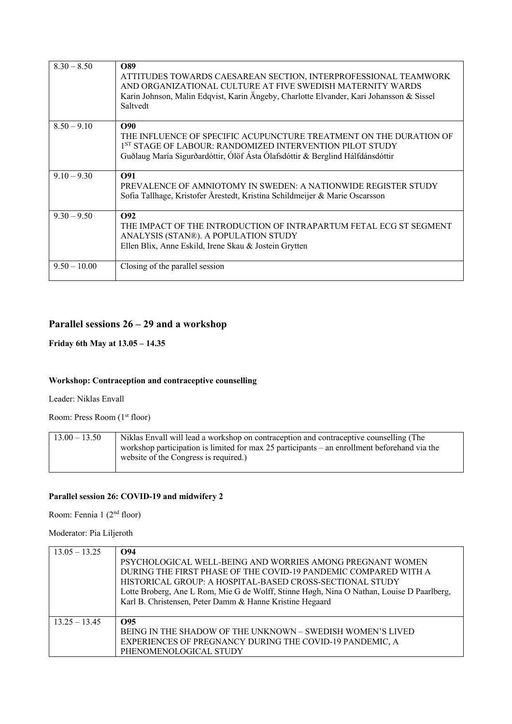| $8.30 - 8.50$  | O89<br>ATTITUDES TOWARDS CAESAREAN SECTION, INTERPROFESSIONAL TEAMWORK<br>AND ORGANIZATIONAL CULTURE AT FIVE SWEDISH MATERNITY WARDS<br>Karin Johnson, Malin Edqvist, Karin Ängeby, Charlotte Elvander, Kari Johansson & Sissel<br>Saltvedt |
|----------------|---------------------------------------------------------------------------------------------------------------------------------------------------------------------------------------------------------------------------------------------|
| $8.50 - 9.10$  | O90<br>THE INFLUENCE OF SPECIFIC ACUPUNCTURE TREATMENT ON THE DURATION OF<br>1 <sup>ST</sup> STAGE OF LABOUR: RANDOMIZED INTERVENTION PILOT STUDY<br>Guðlaug María Sigurðardóttir, Ólöf Ásta Ólafsdóttir & Berglind Hálfdánsdóttir          |
| $9.10 - 9.30$  | O91<br>PREVALENCE OF AMNIOTOMY IN SWEDEN: A NATIONWIDE REGISTER STUDY<br>Sofia Tallhage, Kristofer Årestedt, Kristina Schildmeijer & Marie Oscarsson                                                                                        |
| $9.30 - 9.50$  | $\Omega$<br>THE IMPACT OF THE INTRODUCTION OF INTRAPARTUM FETAL ECG ST SEGMENT<br>ANALYSIS (STAN®). A POPULATION STUDY<br>Ellen Blix, Anne Eskild, Irene Skau & Jostein Grytten                                                             |
| $9.50 - 10.00$ | Closing of the parallel session                                                                                                                                                                                                             |

# **Parallel sessions 26 – 29 and a workshop**

#### **Friday 6th May at 13.05 – 14.35**

#### **Workshop: Contraception and contraceptive counselling**

Leader: Niklas Envall

Room: Press Room (1<sup>st</sup> floor)

| $13.00 - 13.50$ | Niklas Envall will lead a workshop on contraception and contraceptive counselling (The       |
|-----------------|----------------------------------------------------------------------------------------------|
|                 | workshop participation is limited for max 25 participants – an enrollment beforehand via the |
|                 | website of the Congress is required.)                                                        |

# **Parallel session 26: COVID-19 and midwifery 2**

Room: Fennia 1 (2nd floor)

Moderator: Pia Liljeroth

| $13.05 - 13.25$ | O94<br>PSYCHOLOGICAL WELL-BEING AND WORRIES AMONG PREGNANT WOMEN<br>DURING THE FIRST PHASE OF THE COVID-19 PANDEMIC COMPARED WITH A<br>HISTORICAL GROUP: A HOSPITAL-BASED CROSS-SECTIONAL STUDY<br>Lotte Broberg, Ane L Rom, Mie G de Wolff, Stinne Høgh, Nina O Nathan, Louise D Paarlberg,<br>Karl B. Christensen, Peter Damm & Hanne Kristine Hegaard |
|-----------------|----------------------------------------------------------------------------------------------------------------------------------------------------------------------------------------------------------------------------------------------------------------------------------------------------------------------------------------------------------|
| $13.25 - 13.45$ | O95<br>BEING IN THE SHADOW OF THE UNKNOWN - SWEDISH WOMEN'S LIVED<br>EXPERIENCES OF PREGNANCY DURING THE COVID-19 PANDEMIC, A<br>PHENOMENOLOGICAL STUDY                                                                                                                                                                                                  |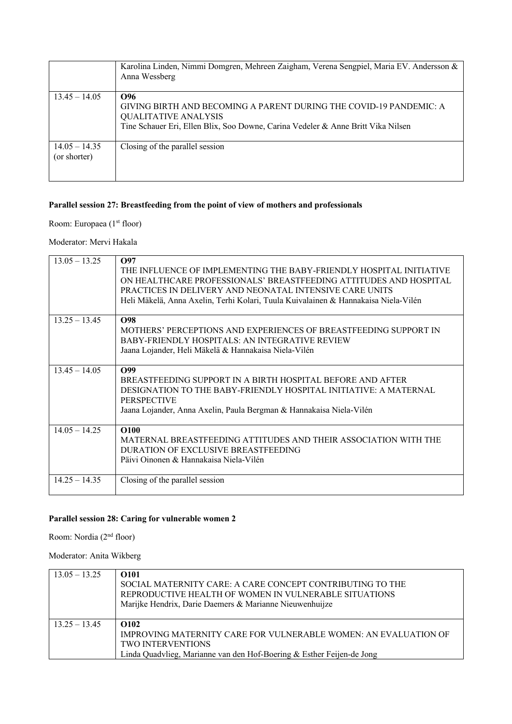|                                 | Karolina Linden, Nimmi Domgren, Mehreen Zaigham, Verena Sengpiel, Maria EV. Andersson &<br>Anna Wessberg                                                                                     |
|---------------------------------|----------------------------------------------------------------------------------------------------------------------------------------------------------------------------------------------|
| $13.45 - 14.05$                 | O96<br>GIVING BIRTH AND BECOMING A PARENT DURING THE COVID-19 PANDEMIC: A<br><b>QUALITATIVE ANALYSIS</b><br>Tine Schauer Eri, Ellen Blix, Soo Downe, Carina Vedeler & Anne Britt Vika Nilsen |
| $14.05 - 14.35$<br>(or shorter) | Closing of the parallel session                                                                                                                                                              |

# **Parallel session 27: Breastfeeding from the point of view of mothers and professionals**

Room: Europaea (1<sup>st</sup> floor)

Moderator: Mervi Hakala

| $13.05 - 13.25$ | O97<br>THE INFLUENCE OF IMPLEMENTING THE BABY-FRIENDLY HOSPITAL INITIATIVE<br>ON HEALTHCARE PROFESSIONALS' BREASTFEEDING ATTITUDES AND HOSPITAL<br>PRACTICES IN DELIVERY AND NEONATAL INTENSIVE CARE UNITS<br>Heli Mäkelä, Anna Axelin, Terhi Kolari, Tuula Kuivalainen & Hannakaisa Niela-Vilén |
|-----------------|--------------------------------------------------------------------------------------------------------------------------------------------------------------------------------------------------------------------------------------------------------------------------------------------------|
| $13.25 - 13.45$ | <b>O98</b><br>MOTHERS' PERCEPTIONS AND EXPERIENCES OF BREASTFEEDING SUPPORT IN<br>BABY-FRIENDLY HOSPITALS: AN INTEGRATIVE REVIEW<br>Jaana Lojander, Heli Mäkelä & Hannakaisa Niela-Vilén                                                                                                         |
| $13.45 - 14.05$ | O99<br>BREASTFEEDING SUPPORT IN A BIRTH HOSPITAL BEFORE AND AFTER<br>DESIGNATION TO THE BABY-FRIENDLY HOSPITAL INITIATIVE: A MATERNAL<br><b>PERSPECTIVE</b><br>Jaana Lojander, Anna Axelin, Paula Bergman & Hannakaisa Niela-Vilén                                                               |
| $14.05 - 14.25$ | <b>O100</b><br>MATERNAL BREASTFEEDING ATTITUDES AND THEIR ASSOCIATION WITH THE<br>DURATION OF EXCLUSIVE BREASTFEEDING<br>Päivi Oinonen & Hannakaisa Niela-Vilén                                                                                                                                  |
| $14.25 - 14.35$ | Closing of the parallel session                                                                                                                                                                                                                                                                  |

# **Parallel session 28: Caring for vulnerable women 2**

Room: Nordia (2nd floor)

Moderator: Anita Wikberg

| $13.05 - 13.25$ | O <sub>101</sub><br>SOCIAL MATERNITY CARE: A CARE CONCEPT CONTRIBUTING TO THE<br>REPRODUCTIVE HEALTH OF WOMEN IN VULNERABLE SITUATIONS<br>Marijke Hendrix, Darie Daemers & Marianne Nieuwenhuijze |
|-----------------|---------------------------------------------------------------------------------------------------------------------------------------------------------------------------------------------------|
| $13.25 - 13.45$ | O <sub>102</sub><br>IMPROVING MATERNITY CARE FOR VULNERABLE WOMEN: AN EVALUATION OF<br><b>TWO INTERVENTIONS</b><br>Linda Quadvlieg, Marianne van den Hof-Boering & Esther Feijen-de Jong          |